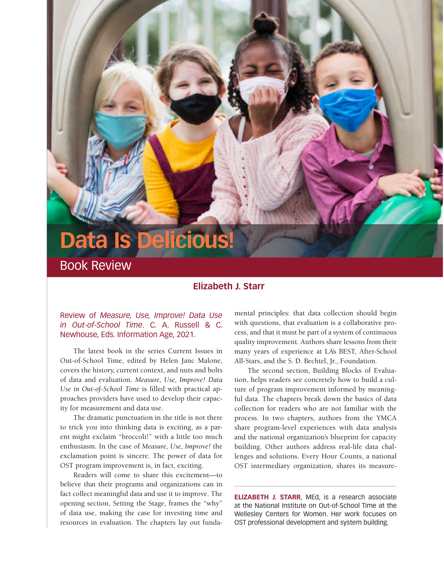## **Data Is Delicious!**

Book Review

## **Elizabeth J. Starr**

## Review of *Measure, Use, Improve! Data Use in Out-of-School Time*. C. A. Russell & C. Newhouse, Eds. Information Age, 2021.

The latest book in the series Current Issues in Out-of-School Time, edited by Helen Janc Malone, covers the history, current context, and nuts and bolts of data and evaluation. *Measure, Use, Improve! Data Use in Out-of-School Time* is filled with practical approaches providers have used to develop their capacity for measurement and data use.

The dramatic punctuation in the title is not there to trick you into thinking data is exciting, as a parent might exclaim "broccoli!" with a little too much enthusiasm. In the case of *Measure, Use, Improve!* the exclamation point is sincere. The power of data for OST program improvement is, in fact, exciting.

Readers will come to share this excitement—to believe that their programs and organizations can in fact collect meaningful data and use it to improve. The opening section, Setting the Stage, frames the "why" of data use, making the case for investing time and resources in evaluation. The chapters lay out funda-

mental principles: that data collection should begin with questions, that evaluation is a collaborative process, and that it must be part of a system of continuous quality improvement. Authors share lessons from their many years of experience at LA's BEST, After-School All-Stars, and the S. D. Bechtel, Jr., Foundation.

The second section, Building Blocks of Evaluation, helps readers see concretely how to build a culture of program improvement informed by meaningful data. The chapters break down the basics of data collection for readers who are not familiar with the process. In two chapters, authors from the YMCA share program-level experiences with data analysis and the national organization's blueprint for capacity building. Other authors address real-life data challenges and solutions. Every Hour Counts, a national OST intermediary organization, shares its measure-

**ELIZABETH J. STARR**, MEd, is a research associate at the National Institute on Out-of-School Time at the Wellesley Centers for Women. Her work focuses on OST professional development and system building.